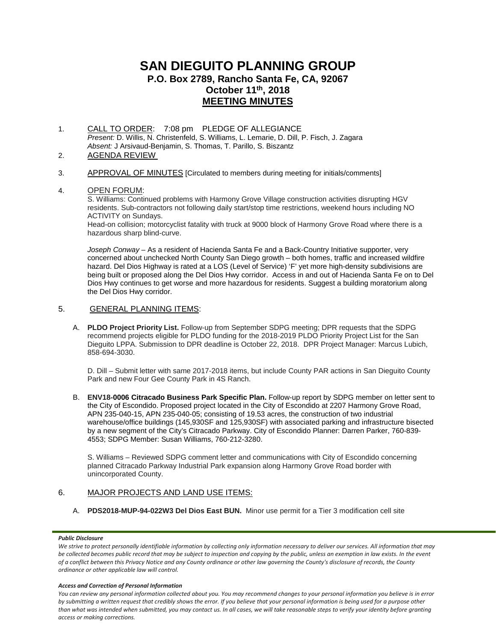# **SAN DIEGUITO PLANNING GROUP P.O. Box 2789, Rancho Santa Fe, CA, 92067 October 11th, 2018 MEETING MINUTES**

1. CALL TO ORDER: 7:08 pm PLEDGE OF ALLEGIANCE *Present:* D. Willis, N. Christenfeld, S. Williams, L. Lemarie, D. Dill, P. Fisch, J. Zagara *Absent:* J Arsivaud-Benjamin, S. Thomas, T. Parillo, S. Biszantz

## 2. AGENDA REVIEW

3. APPROVAL OF MINUTES [Circulated to members during meeting for initials/comments]

## 4. OPEN FORUM:

S. Williams: Continued problems with Harmony Grove Village construction activities disrupting HGV residents. Sub-contractors not following daily start/stop time restrictions, weekend hours including NO ACTIVITY on Sundays.

Head-on collision; motorcyclist fatality with truck at 9000 block of Harmony Grove Road where there is a hazardous sharp blind-curve.

*Joseph Conway* – As a resident of Hacienda Santa Fe and a Back-Country Initiative supporter, very concerned about unchecked North County San Diego growth – both homes, traffic and increased wildfire hazard. Del Dios Highway is rated at a LOS (Level of Service) 'F' yet more high-density subdivisions are being built or proposed along the Del Dios Hwy corridor. Access in and out of Hacienda Santa Fe on to Del Dios Hwy continues to get worse and more hazardous for residents. Suggest a building moratorium along the Del Dios Hwy corridor.

## 5. GENERAL PLANNING ITEMS:

A. **PLDO Project Priority List.** Follow-up from September SDPG meeting; DPR requests that the SDPG recommend projects eligible for PLDO funding for the 2018-2019 PLDO Priority Project List for the San Dieguito LPPA. Submission to DPR deadline is October 22, 2018. DPR Project Manager: Marcus Lubich, 858-694-3030.

D. Dill – Submit letter with same 2017-2018 items, but include County PAR actions in San Dieguito County Park and new Four Gee County Park in 4S Ranch.

B. **ENV18-0006 Citracado Business Park Specific Plan.** Follow-up report by SDPG member on letter sent to the City of Escondido. Proposed project located in the City of Escondido at 2207 Harmony Grove Road, APN 235-040-15, APN 235-040-05; consisting of 19.53 acres, the construction of two industrial warehouse/office buildings (145,930SF and 125,930SF) with associated parking and infrastructure bisected by a new segment of the City's Citracado Parkway. City of Escondido Planner: Darren Parker, 760-839- 4553; SDPG Member: Susan Williams, 760-212-3280.

S. Williams – Reviewed SDPG comment letter and communications with City of Escondido concerning planned Citracado Parkway Industrial Park expansion along Harmony Grove Road border with unincorporated County.

# 6. MAJOR PROJECTS AND LAND USE ITEMS:

A. **PDS2018-MUP-94-022W3 Del Dios East BUN.** Minor use permit for a Tier 3 modification cell site

#### *Public Disclosure*

#### *Access and Correction of Personal Information*

*We strive to protect personally identifiable information by collecting only information necessary to deliver our services. All information that may be collected becomes public record that may be subject to inspection and copying by the public, unless an exemption in law exists. In the event of a conflict between this Privacy Notice and any County ordinance or other law governing the County's disclosure of records, the County ordinance or other applicable law will control.*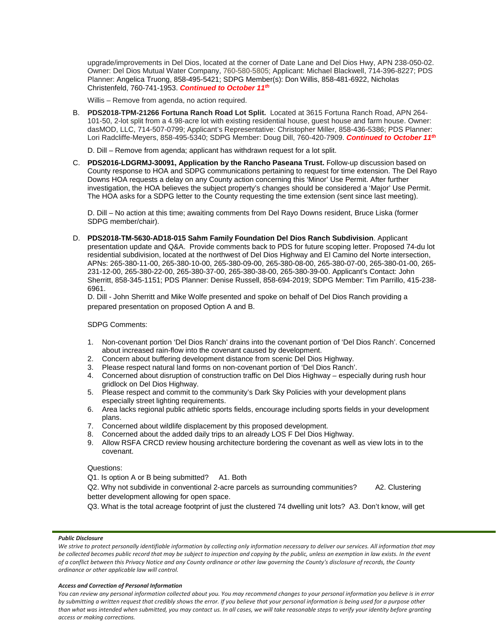upgrade/improvements in Del Dios, located at the corner of Date Lane and Del Dios Hwy, APN 238-050-02. Owner: Del Dios Mutual Water Company, 760-580-5805; Applicant: Michael Blackwell, 714-396-8227; PDS Planner: Angelica Truong, 858-495-5421; SDPG Member(s): Don Willis, 858-481-6922, Nicholas Christenfeld, 760-741-1953. *Continued to October 11th*

Willis – Remove from agenda, no action required.

B. **PDS2018-TPM-21266 Fortuna Ranch Road Lot Split.** Located at 3615 Fortuna Ranch Road, APN 264- 101-50, 2-lot split from a 4.98-acre lot with existing residential house, guest house and farm house. Owner: dasMOD, LLC, 714-507-0799; Applicant's Representative: Christopher Miller, 858-436-5386; PDS Planner: Lori Radcliffe-Meyers, 858-495-5340; SDPG Member: Doug Dill, 760-420-7909. *Continued to October 11th*

D. Dill – Remove from agenda; applicant has withdrawn request for a lot split.

C. **PDS2016-LDGRMJ-30091, Application by the Rancho Paseana Trust.** Follow-up discussion based on County response to HOA and SDPG communications pertaining to request for time extension. The Del Rayo Downs HOA requests a delay on any County action concerning this 'Minor' Use Permit. After further investigation, the HOA believes the subject property's changes should be considered a 'Major' Use Permit. The HOA asks for a SDPG letter to the County requesting the time extension (sent since last meeting).

D. Dill – No action at this time; awaiting comments from Del Rayo Downs resident, Bruce Liska (former SDPG member/chair).

D. **PDS2018-TM-5630-AD18-015 Sahm Family Foundation Del Dios Ranch Subdivision**. Applicant presentation update and Q&A. Provide comments back to PDS for future scoping letter. Proposed 74-du lot residential subdivision, located at the northwest of Del Dios Highway and El Camino del Norte intersection, APNs: 265-380-11-00, 265-380-10-00, 265-380-09-00, 265-380-08-00, 265-380-07-00, 265-380-01-00, 265- 231-12-00, 265-380-22-00, 265-380-37-00, 265-380-38-00, 265-380-39-00. Applicant's Contact: John Sherritt, 858-345-1151; PDS Planner: Denise Russell, 858-694-2019; SDPG Member: Tim Parrillo, 415-238- 6961.

D. Dill - John Sherritt and Mike Wolfe presented and spoke on behalf of Del Dios Ranch providing a prepared presentation on proposed Option A and B.

SDPG Comments:

- 1. Non-covenant portion 'Del Dios Ranch' drains into the covenant portion of 'Del Dios Ranch'. Concerned about increased rain-flow into the covenant caused by development.
- 2. Concern about buffering development distance from scenic Del Dios Highway.
- 3. Please respect natural land forms on non-covenant portion of 'Del Dios Ranch'.
- 4. Concerned about disruption of construction traffic on Del Dios Highway especially during rush hour gridlock on Del Dios Highway.
- 5. Please respect and commit to the community's Dark Sky Policies with your development plans especially street lighting requirements.
- 6. Area lacks regional public athletic sports fields, encourage including sports fields in your development plans.
- 7. Concerned about wildlife displacement by this proposed development.
- 8. Concerned about the added daily trips to an already LOS F Del Dios Highway.
- 9. Allow RSFA CRCD review housing architecture bordering the covenant as well as view lots in to the covenant.

### Questions:

Q1. Is option A or B being submitted? A1. Both

Q2. Why not subdivide in conventional 2-acre parcels as surrounding communities? A2. Clustering better development allowing for open space.

Q3. What is the total acreage footprint of just the clustered 74 dwelling unit lots? A3. Don't know, will get

#### *Public Disclosure*

We strive to protect personally identifiable information by collecting only information necessary to deliver our services. All information that may *be collected becomes public record that may be subject to inspection and copying by the public, unless an exemption in law exists. In the event of a conflict between this Privacy Notice and any County ordinance or other law governing the County's disclosure of records, the County ordinance or other applicable law will control.*

#### *Access and Correction of Personal Information*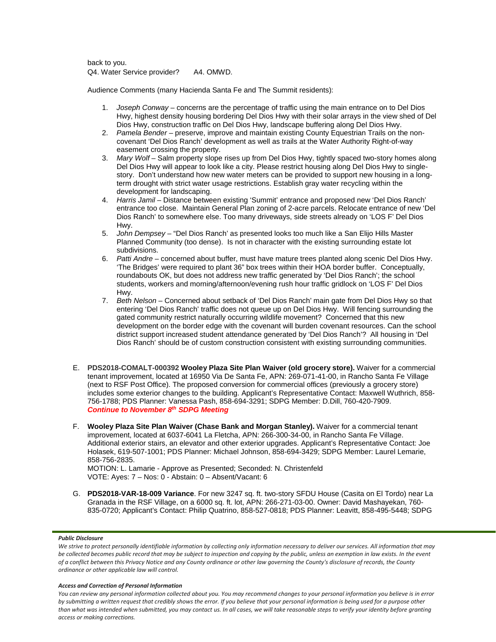back to you. Q4. Water Service provider? A4. OMWD.

Audience Comments (many Hacienda Santa Fe and The Summit residents):

- 1. *Joseph Conway* concerns are the percentage of traffic using the main entrance on to Del Dios Hwy, highest density housing bordering Del Dios Hwy with their solar arrays in the view shed of Del Dios Hwy, construction traffic on Del Dios Hwy, landscape buffering along Del Dios Hwy.
- 2. *Pamela Bender* preserve, improve and maintain existing County Equestrian Trails on the noncovenant 'Del Dios Ranch' development as well as trails at the Water Authority Right-of-way easement crossing the property.
- 3. *Mary Wolf* Salm property slope rises up from Del Dios Hwy, tightly spaced two-story homes along Del Dios Hwy will appear to look like a city. Please restrict housing along Del Dios Hwy to singlestory. Don't understand how new water meters can be provided to support new housing in a longterm drought with strict water usage restrictions. Establish gray water recycling within the development for landscaping.
- 4. *Harris Jamil* Distance between existing 'Summit' entrance and proposed new 'Del Dios Ranch' entrance too close. Maintain General Plan zoning of 2-acre parcels. Relocate entrance of new 'Del Dios Ranch' to somewhere else. Too many driveways, side streets already on 'LOS F' Del Dios Hwy.
- 5. *John Dempsey* "Del Dios Ranch' as presented looks too much like a San Elijo Hills Master Planned Community (too dense). Is not in character with the existing surrounding estate lot subdivisions.
- 6. *Patti Andre* concerned about buffer, must have mature trees planted along scenic Del Dios Hwy. 'The Bridges' were required to plant 36" box trees within their HOA border buffer. Conceptually, roundabouts OK, but does not address new traffic generated by 'Del Dios Ranch'; the school students, workers and morning/afternoon/evening rush hour traffic gridlock on 'LOS F' Del Dios Hwy.
- 7. *Beth Nelson* Concerned about setback of 'Del Dios Ranch' main gate from Del Dios Hwy so that entering 'Del Dios Ranch' traffic does not queue up on Del Dios Hwy. Will fencing surrounding the gated community restrict naturally occurring wildlife movement? Concerned that this new development on the border edge with the covenant will burden covenant resources. Can the school district support increased student attendance generated by 'Del Dios Ranch'? All housing in 'Del Dios Ranch' should be of custom construction consistent with existing surrounding communities.
- E. **PDS2018-COMALT-000392 Wooley Plaza Site Plan Waiver (old grocery store).** Waiver for a commercial tenant improvement, located at 16950 Via De Santa Fe, APN: 269-071-41-00, in Rancho Santa Fe Village (next to RSF Post Office). The proposed conversion for commercial offices (previously a grocery store) includes some exterior changes to the building. Applicant's Representative Contact: Maxwell Wuthrich, 858- 756-1788; PDS Planner: Vanessa Pash, 858-694-3291; SDPG Member: D.Dill, 760-420-7909. *Continue to November 8th SDPG Meeting*
- F. **Wooley Plaza Site Plan Waiver (Chase Bank and Morgan Stanley).** Waiver for a commercial tenant improvement, located at 6037-6041 La Fletcha, APN: 266-300-34-00, in Rancho Santa Fe Village. Additional exterior stairs, an elevator and other exterior upgrades. Applicant's Representative Contact: Joe Holasek, 619-507-1001; PDS Planner: Michael Johnson, 858-694-3429; SDPG Member: Laurel Lemarie, 858-756-2835.

MOTION: L. Lamarie - Approve as Presented; Seconded: N. Christenfeld VOTE: Ayes: 7 – Nos: 0 - Abstain: 0 – Absent/Vacant: 6

G. **PDS2018-VAR-18-009 Variance**. For new 3247 sq. ft. two-story SFDU House (Casita on El Tordo) near La Granada in the RSF Village, on a 6000 sq. ft. lot, APN: 266-271-03-00. Owner: David Mashayekan, 760- 835-0720; Applicant's Contact: Philip Quatrino, 858-527-0818; PDS Planner: Leavitt, 858-495-5448; SDPG

#### *Public Disclosure*

#### *Access and Correction of Personal Information*

We strive to protect personally identifiable information by collecting only information necessary to deliver our services. All information that may *be collected becomes public record that may be subject to inspection and copying by the public, unless an exemption in law exists. In the event of a conflict between this Privacy Notice and any County ordinance or other law governing the County's disclosure of records, the County ordinance or other applicable law will control.*